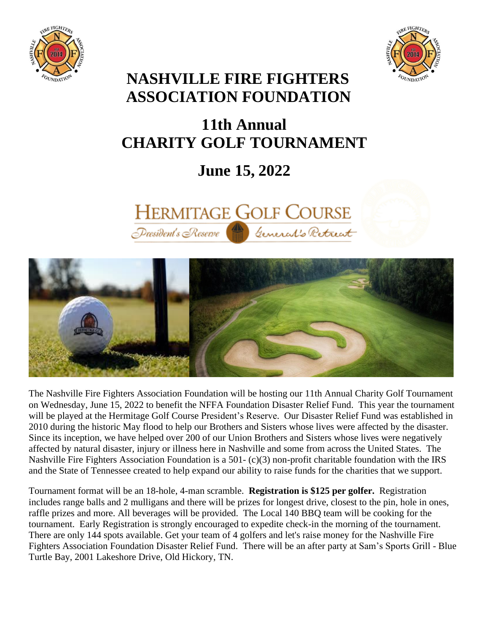



# **NASHVILLE FIRE FIGHTERS ASSOCIATION FOUNDATION**

# **11th Annual CHARITY GOLF TOURNAMENT**

# **June 15, 2022**





The Nashville Fire Fighters Association Foundation will be hosting our 11th Annual Charity Golf Tournament on Wednesday, June 15, 2022 to benefit the NFFA Foundation Disaster Relief Fund. This year the tournament will be played at the Hermitage Golf Course President's Reserve. Our Disaster Relief Fund was established in 2010 during the historic May flood to help our Brothers and Sisters whose lives were affected by the disaster. Since its inception, we have helped over 200 of our Union Brothers and Sisters whose lives were negatively affected by natural disaster, injury or illness here in Nashville and some from across the United States. The Nashville Fire Fighters Association Foundation is a 501- (c)(3) non-profit charitable foundation with the IRS and the State of Tennessee created to help expand our ability to raise funds for the charities that we support.

Tournament format will be an 18-hole, 4-man scramble. **Registration is \$125 per golfer.** Registration includes range balls and 2 mulligans and there will be prizes for longest drive, closest to the pin, hole in ones, raffle prizes and more. All beverages will be provided. The Local 140 BBQ team will be cooking for the tournament. Early Registration is strongly encouraged to expedite check-in the morning of the tournament. There are only 144 spots available. Get your team of 4 golfers and let's raise money for the Nashville Fire Fighters Association Foundation Disaster Relief Fund. There will be an after party at Sam's Sports Grill - Blue Turtle Bay, 2001 Lakeshore Drive, Old Hickory, TN.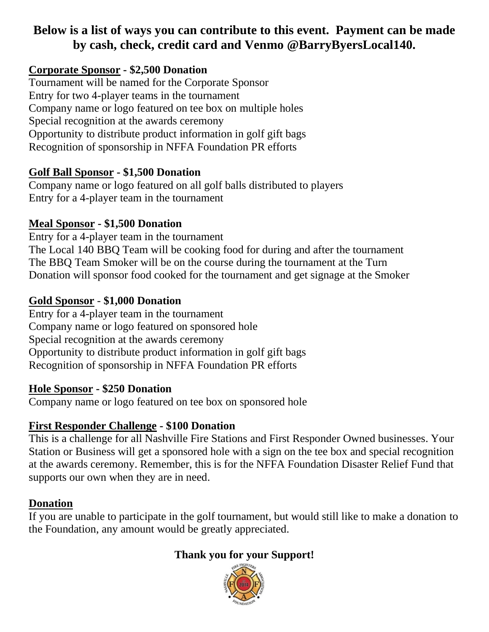## **Below is a list of ways you can contribute to this event. Payment can be made by cash, check, credit card and Venmo @BarryByersLocal140.**

#### **Corporate Sponsor - \$2,500 Donation**

Tournament will be named for the Corporate Sponsor Entry for two 4-player teams in the tournament Company name or logo featured on tee box on multiple holes Special recognition at the awards ceremony Opportunity to distribute product information in golf gift bags Recognition of sponsorship in NFFA Foundation PR efforts

#### **Golf Ball Sponsor - \$1,500 Donation**

Company name or logo featured on all golf balls distributed to players Entry for a 4-player team in the tournament

#### **Meal Sponsor - \$1,500 Donation**

Entry for a 4-player team in the tournament The Local 140 BBQ Team will be cooking food for during and after the tournament The BBQ Team Smoker will be on the course during the tournament at the Turn Donation will sponsor food cooked for the tournament and get signage at the Smoker

#### **Gold Sponsor** - **\$1,000 Donation**

Entry for a 4-player team in the tournament Company name or logo featured on sponsored hole Special recognition at the awards ceremony Opportunity to distribute product information in golf gift bags Recognition of sponsorship in NFFA Foundation PR efforts

#### **Hole Sponsor - \$250 Donation**

Company name or logo featured on tee box on sponsored hole

#### **First Responder Challenge - \$100 Donation**

This is a challenge for all Nashville Fire Stations and First Responder Owned businesses. Your Station or Business will get a sponsored hole with a sign on the tee box and special recognition at the awards ceremony. Remember, this is for the NFFA Foundation Disaster Relief Fund that supports our own when they are in need.

#### **Donation**

If you are unable to participate in the golf tournament, but would still like to make a donation to the Foundation, any amount would be greatly appreciated.

### **Thank you for your Support!**